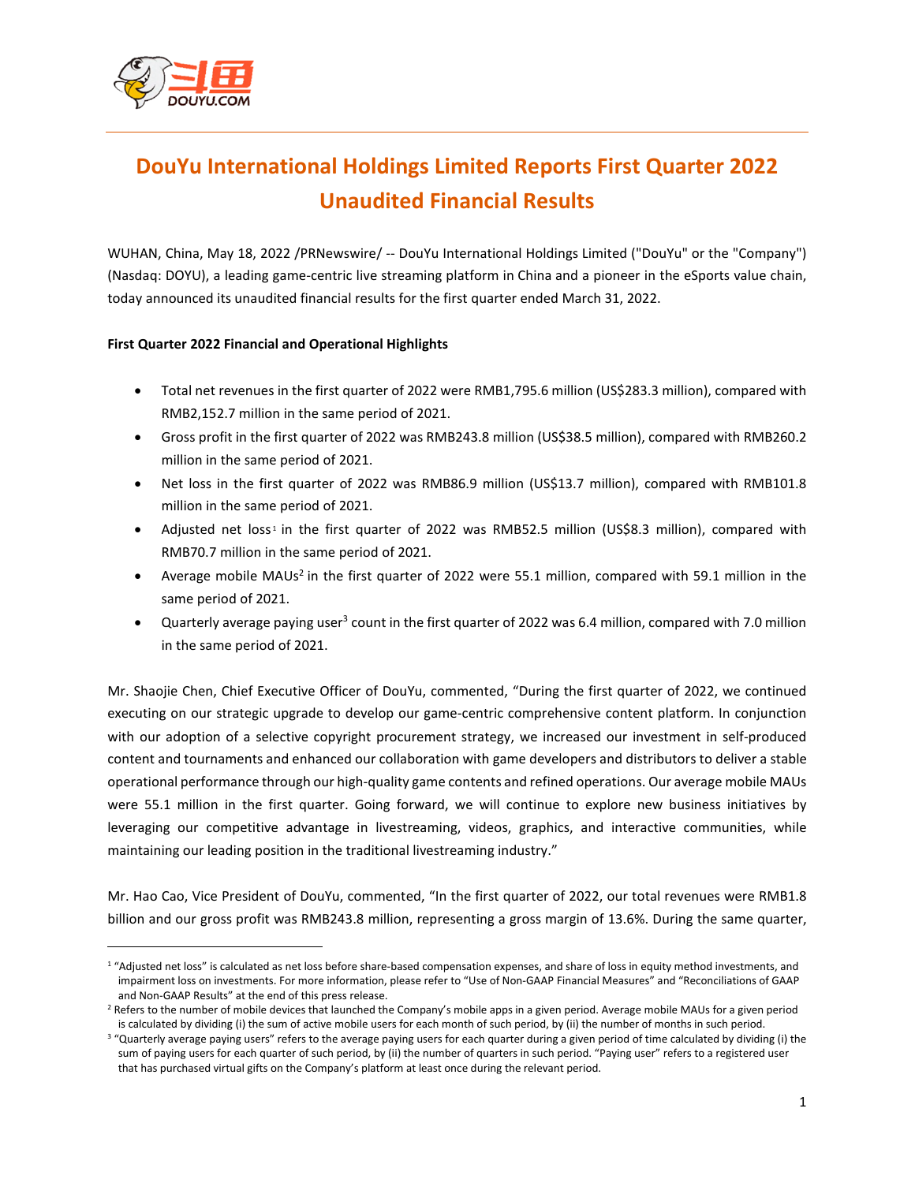

 $\overline{a}$ 

# **DouYu International Holdings Limited Reports First Quarter 2022 Unaudited Financial Results**

WUHAN, China, May 18, 2022 /PRNewswire/ -- DouYu International Holdings Limited ("DouYu" or the "Company") (Nasdaq: DOYU), a leading game-centric live streaming platform in China and a pioneer in the eSports value chain, today announced its unaudited financial results for the first quarter ended March 31, 2022.

#### **First Quarter 2022 Financial and Operational Highlights**

- Total net revenues in the first quarter of 2022 were RMB1,795.6 million (US\$283.3 million), compared with RMB2,152.7 million in the same period of 2021.
- Gross profit in the first quarter of 2022 was RMB243.8 million (US\$38.5 million), compared with RMB260.2 million in the same period of 2021.
- Net loss in the first quarter of 2022 was RMB86.9 million (US\$13.7 million), compared with RMB101.8 million in the same period of 2021.
- Adjusted net loss<sup>1</sup> in the first quarter of 2022 was RMB52.5 million (US\$8.3 million), compared with RMB70.7 million in the same period of 2021.
- Average mobile MAUs<sup>2</sup> in the first quarter of 2022 were 55.1 million, compared with 59.1 million in the same period of 2021.
- Quarterly average paying user<sup>3</sup> count in the first quarter of 2022 was 6.4 million, compared with 7.0 million in the same period of 2021.

Mr. Shaojie Chen, Chief Executive Officer of DouYu, commented, "During the first quarter of 2022, we continued executing on our strategic upgrade to develop our game-centric comprehensive content platform. In conjunction with our adoption of a selective copyright procurement strategy, we increased our investment in self-produced content and tournaments and enhanced our collaboration with game developers and distributors to deliver a stable operational performance through our high-quality game contents and refined operations. Our average mobile MAUs were 55.1 million in the first quarter. Going forward, we will continue to explore new business initiatives by leveraging our competitive advantage in livestreaming, videos, graphics, and interactive communities, while maintaining our leading position in the traditional livestreaming industry."

Mr. Hao Cao, Vice President of DouYu, commented, "In the first quarter of 2022, our total revenues were RMB1.8 billion and our gross profit was RMB243.8 million, representing a gross margin of 13.6%. During the same quarter,

<sup>1</sup> "Adjusted net loss" is calculated as net loss before share-based compensation expenses, and share of loss in equity method investments, and impairment loss on investments. For more information, please refer to "Use of Non-GAAP Financial Measures" and "Reconciliations of GAAP and Non-GAAP Results" at the end of this press release.

<sup>&</sup>lt;sup>2</sup> Refers to the number of mobile devices that launched the Company's mobile apps in a given period. Average mobile MAUs for a given period is calculated by dividing (i) the sum of active mobile users for each month of such period, by (ii) the number of months in such period.

<sup>&</sup>lt;sup>3</sup> "Quarterly average paying users" refers to the average paying users for each quarter during a given period of time calculated by dividing (i) the sum of paying users for each quarter of such period, by (ii) the number of quarters in such period. "Paying user" refers to a registered user that has purchased virtual gifts on the Company's platform at least once during the relevant period.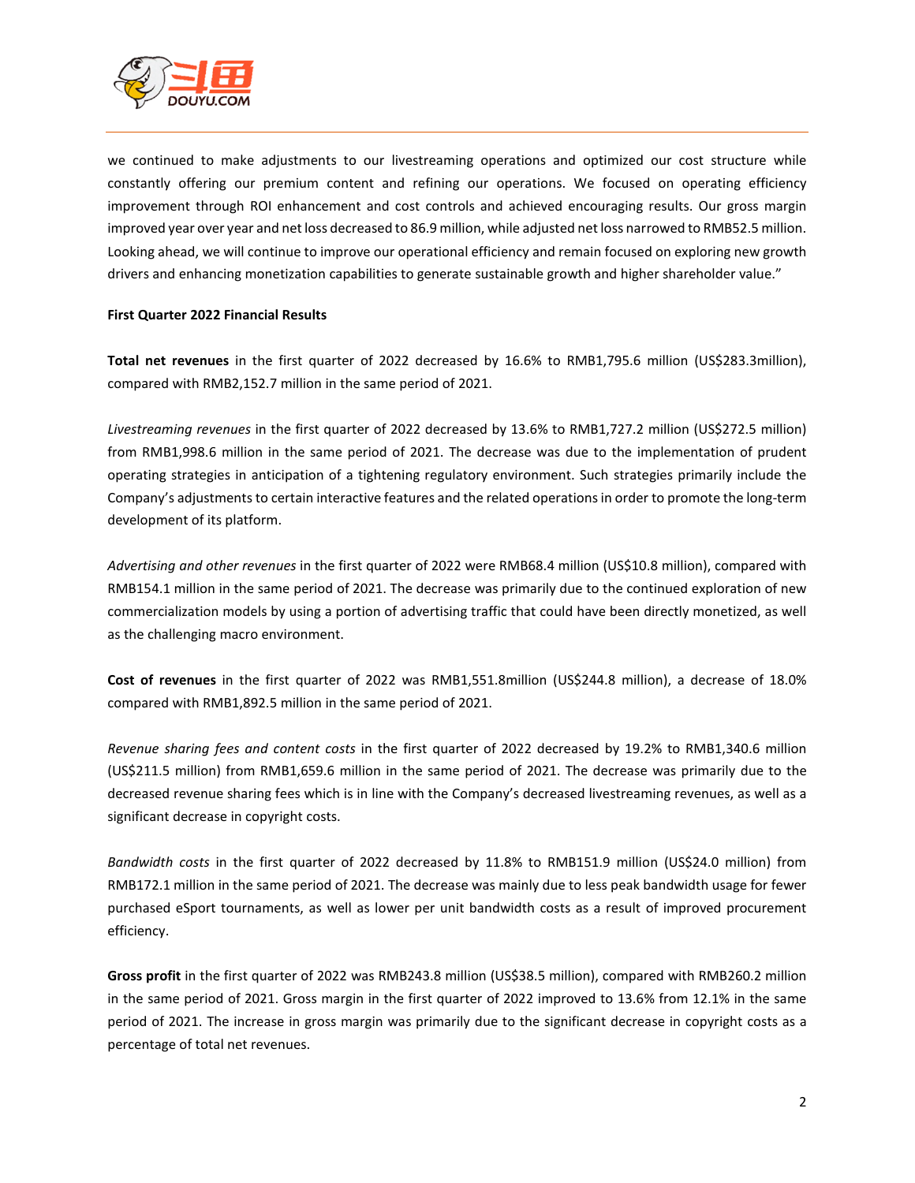

we continued to make adjustments to our livestreaming operations and optimized our cost structure while constantly offering our premium content and refining our operations. We focused on operating efficiency improvement through ROI enhancement and cost controls and achieved encouraging results. Our gross margin improved year over year and net loss decreased to 86.9 million, while adjusted net loss narrowed to RMB52.5 million. Looking ahead, we will continue to improve our operational efficiency and remain focused on exploring new growth drivers and enhancing monetization capabilities to generate sustainable growth and higher shareholder value."

#### **First Quarter 2022 Financial Results**

**Total net revenues** in the first quarter of 2022 decreased by 16.6% to RMB1,795.6 million (US\$283.3million), compared with RMB2,152.7 million in the same period of 2021.

*Livestreaming revenues* in the first quarter of 2022 decreased by 13.6% to RMB1,727.2 million (US\$272.5 million) from RMB1,998.6 million in the same period of 2021. The decrease was due to the implementation of prudent operating strategies in anticipation of a tightening regulatory environment. Such strategies primarily include the Company's adjustments to certain interactive features and the related operations in order to promote the long-term development of its platform.

*Advertising and other revenues* in the first quarter of 2022 were RMB68.4 million (US\$10.8 million), compared with RMB154.1 million in the same period of 2021. The decrease was primarily due to the continued exploration of new commercialization models by using a portion of advertising traffic that could have been directly monetized, as well as the challenging macro environment.

**Cost of revenues** in the first quarter of 2022 was RMB1,551.8million (US\$244.8 million), a decrease of 18.0% compared with RMB1,892.5 million in the same period of 2021.

*Revenue sharing fees and content costs* in the first quarter of 2022 decreased by 19.2% to RMB1,340.6 million (US\$211.5 million) from RMB1,659.6 million in the same period of 2021. The decrease was primarily due to the decreased revenue sharing fees which is in line with the Company's decreased livestreaming revenues, as well as a significant decrease in copyright costs.

*Bandwidth costs* in the first quarter of 2022 decreased by 11.8% to RMB151.9 million (US\$24.0 million) from RMB172.1 million in the same period of 2021. The decrease was mainly due to less peak bandwidth usage for fewer purchased eSport tournaments, as well as lower per unit bandwidth costs as a result of improved procurement efficiency.

**Gross profit** in the first quarter of 2022 was RMB243.8 million (US\$38.5 million), compared with RMB260.2 million in the same period of 2021. Gross margin in the first quarter of 2022 improved to 13.6% from 12.1% in the same period of 2021. The increase in gross margin was primarily due to the significant decrease in copyright costs as a percentage of total net revenues.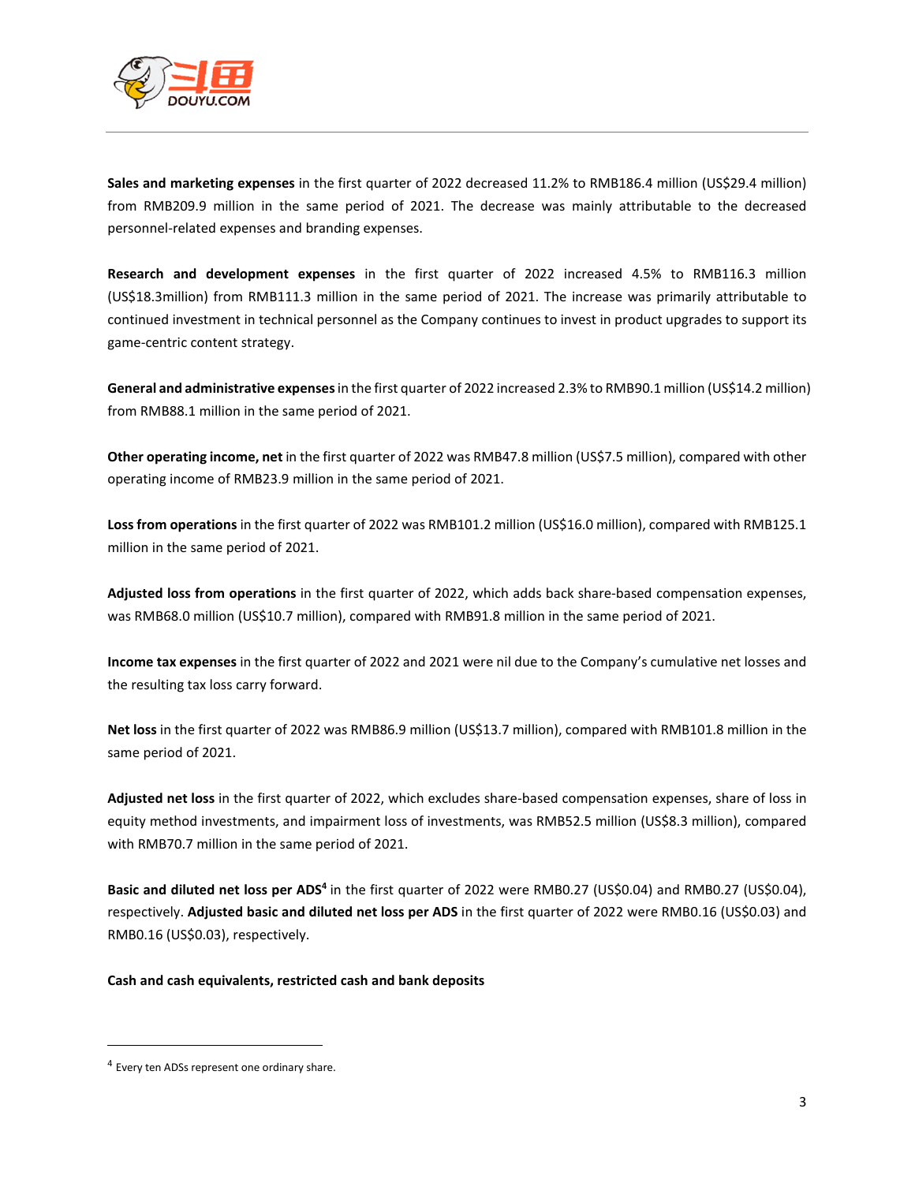

**Sales and marketing expenses** in the first quarter of 2022 decreased 11.2% to RMB186.4 million (US\$29.4 million) from RMB209.9 million in the same period of 2021. The decrease was mainly attributable to the decreased personnel-related expenses and branding expenses.

**Research and development expenses** in the first quarter of 2022 increased 4.5% to RMB116.3 million (US\$18.3million) from RMB111.3 million in the same period of 2021. The increase was primarily attributable to continued investment in technical personnel as the Company continues to invest in product upgrades to support its game-centric content strategy.

**General and administrative expenses** in the first quarter of 2022 increased 2.3% to RMB90.1 million (US\$14.2 million) from RMB88.1 million in the same period of 2021.

**Other operating income, net** in the first quarter of 2022 was RMB47.8 million (US\$7.5 million), compared with other operating income of RMB23.9 million in the same period of 2021.

**Loss from operations** in the first quarter of 2022 was RMB101.2 million (US\$16.0 million), compared with RMB125.1 million in the same period of 2021.

**Adjusted loss from operations** in the first quarter of 2022, which adds back share-based compensation expenses, was RMB68.0 million (US\$10.7 million), compared with RMB91.8 million in the same period of 2021.

**Income tax expenses** in the first quarter of 2022 and 2021 were nil due to the Company's cumulative net losses and the resulting tax loss carry forward.

**Net loss** in the first quarter of 2022 was RMB86.9 million (US\$13.7 million), compared with RMB101.8 million in the same period of 2021.

**Adjusted net loss** in the first quarter of 2022, which excludes share-based compensation expenses, share of loss in equity method investments, and impairment loss of investments, was RMB52.5 million (US\$8.3 million), compared with RMB70.7 million in the same period of 2021.

Basic and diluted net loss per ADS<sup>4</sup> in the first quarter of 2022 were RMB0.27 (US\$0.04) and RMB0.27 (US\$0.04), respectively. **Adjusted basic and diluted net loss per ADS** in the first quarter of 2022 were RMB0.16 (US\$0.03) and RMB0.16 (US\$0.03), respectively.

**Cash and cash equivalents, restricted cash and bank deposits** 

 $\overline{a}$ 

<sup>&</sup>lt;sup>4</sup> Every ten ADSs represent one ordinary share.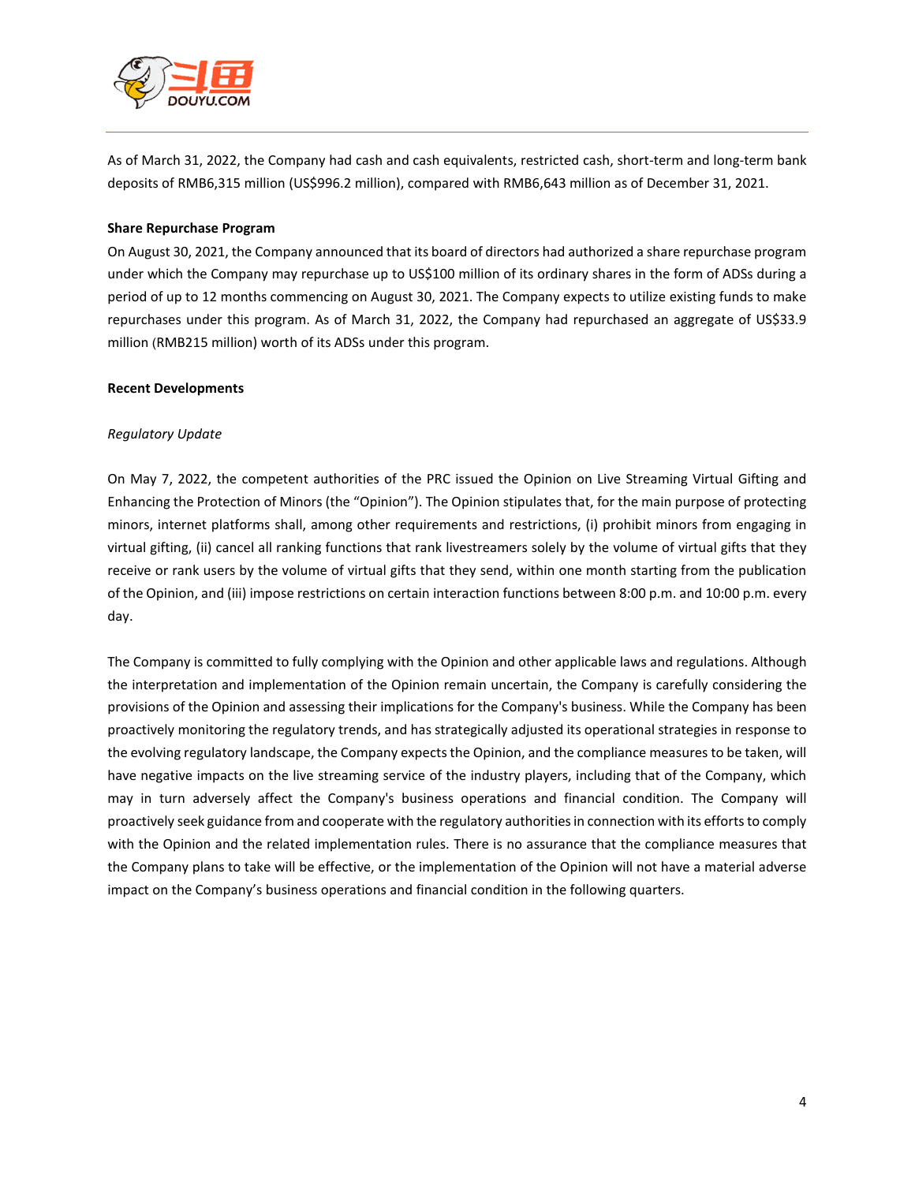

As of March 31, 2022, the Company had cash and cash equivalents, restricted cash, short-term and long-term bank deposits of RMB6,315 million (US\$996.2 million), compared with RMB6,643 million as of December 31, 2021.

#### **Share Repurchase Program**

On August 30, 2021, the Company announced that its board of directors had authorized a share repurchase program under which the Company may repurchase up to US\$100 million of its ordinary shares in the form of ADSs during a period of up to 12 months commencing on August 30, 2021. The Company expects to utilize existing funds to make repurchases under this program. As of March 31, 2022, the Company had repurchased an aggregate of US\$33.9 million (RMB215 million) worth of its ADSs under this program.

#### **Recent Developments**

#### *Regulatory Update*

On May 7, 2022, the competent authorities of the PRC issued the Opinion on Live Streaming Virtual Gifting and Enhancing the Protection of Minors (the "Opinion"). The Opinion stipulates that, for the main purpose of protecting minors, internet platforms shall, among other requirements and restrictions, (i) prohibit minors from engaging in virtual gifting, (ii) cancel all ranking functions that rank livestreamers solely by the volume of virtual gifts that they receive or rank users by the volume of virtual gifts that they send, within one month starting from the publication of the Opinion, and (iii) impose restrictions on certain interaction functions between 8:00 p.m. and 10:00 p.m. every day.

The Company is committed to fully complying with the Opinion and other applicable laws and regulations. Although the interpretation and implementation of the Opinion remain uncertain, the Company is carefully considering the provisions of the Opinion and assessing their implications for the Company's business. While the Company has been proactively monitoring the regulatory trends, and has strategically adjusted its operational strategies in response to the evolving regulatory landscape, the Company expects the Opinion, and the compliance measures to be taken, will have negative impacts on the live streaming service of the industry players, including that of the Company, which may in turn adversely affect the Company's business operations and financial condition. The Company will proactively seek guidance from and cooperate with the regulatory authorities in connection with its efforts to comply with the Opinion and the related implementation rules. There is no assurance that the compliance measures that the Company plans to take will be effective, or the implementation of the Opinion will not have a material adverse impact on the Company's business operations and financial condition in the following quarters.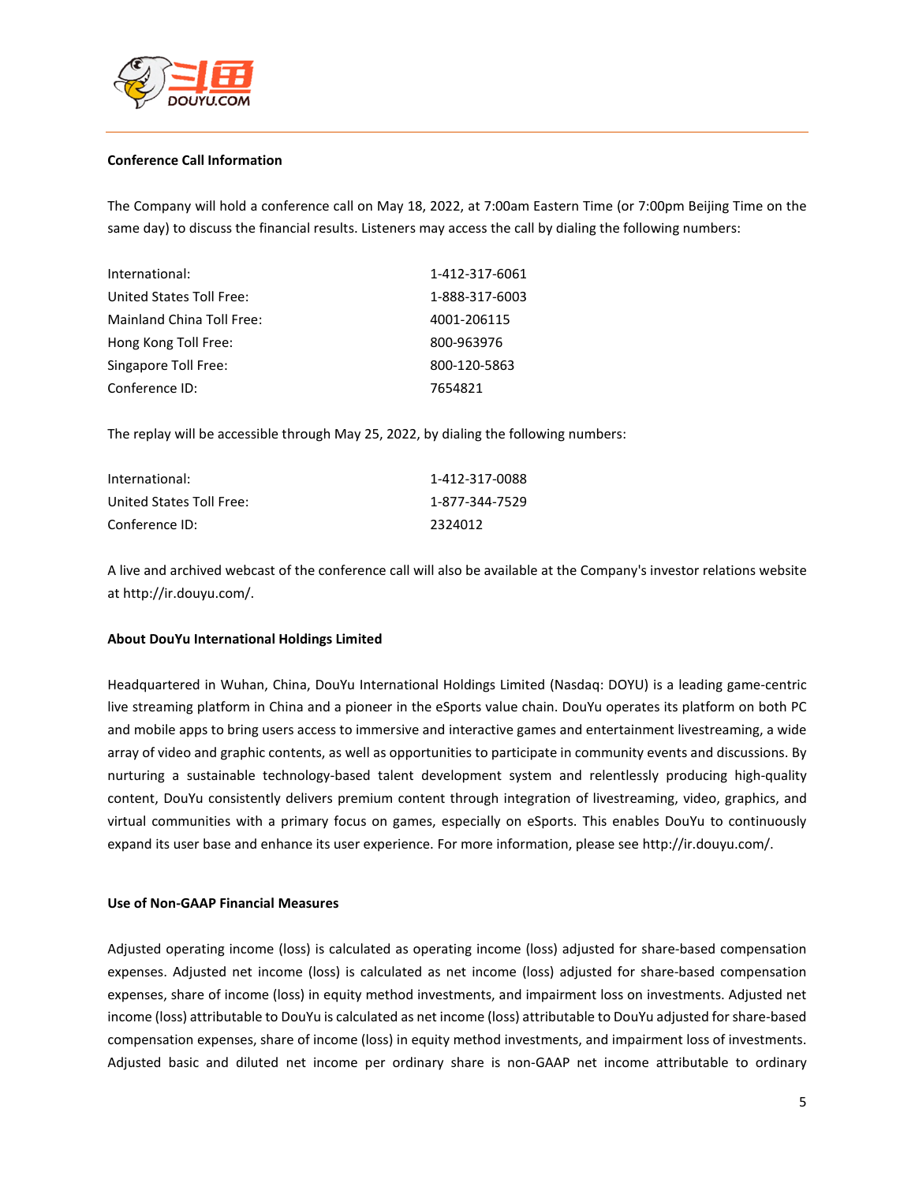

#### **Conference Call Information**

The Company will hold a conference call on May 18, 2022, at 7:00am Eastern Time (or 7:00pm Beijing Time on the same day) to discuss the financial results. Listeners may access the call by dialing the following numbers:

| International:            | 1-412-317-6061 |
|---------------------------|----------------|
| United States Toll Free:  | 1-888-317-6003 |
| Mainland China Toll Free: | 4001-206115    |
| Hong Kong Toll Free:      | 800-963976     |
| Singapore Toll Free:      | 800-120-5863   |
| Conference ID:            | 7654821        |

The replay will be accessible through May 25, 2022, by dialing the following numbers:

| International:           | 1-412-317-0088 |
|--------------------------|----------------|
| United States Toll Free: | 1-877-344-7529 |
| Conference ID:           | 2324012        |

A live and archived webcast of the conference call will also be available at the Company's investor relations website a[t http://ir.douyu.com/.](http://ir.douyu.com/)

#### **About DouYu International Holdings Limited**

Headquartered in Wuhan, China, DouYu International Holdings Limited (Nasdaq: DOYU) is a leading game-centric live streaming platform in China and a pioneer in the eSports value chain. DouYu operates its platform on both PC and mobile apps to bring users access to immersive and interactive games and entertainment livestreaming, a wide array of video and graphic contents, as well as opportunities to participate in community events and discussions. By nurturing a sustainable technology-based talent development system and relentlessly producing high-quality content, DouYu consistently delivers premium content through integration of livestreaming, video, graphics, and virtual communities with a primary focus on games, especially on eSports. This enables DouYu to continuously expand its user base and enhance its user experience. For more information, please see [http://ir.douyu.com/.](http://ir.douyu.com/) 

#### **Use of Non-GAAP Financial Measures**

Adjusted operating income (loss) is calculated as operating income (loss) adjusted for share-based compensation expenses. Adjusted net income (loss) is calculated as net income (loss) adjusted for share-based compensation expenses, share of income (loss) in equity method investments, and impairment loss on investments. Adjusted net income (loss) attributable to DouYu is calculated as net income (loss) attributable to DouYu adjusted for share-based compensation expenses, share of income (loss) in equity method investments, and impairment loss of investments. Adjusted basic and diluted net income per ordinary share is non-GAAP net income attributable to ordinary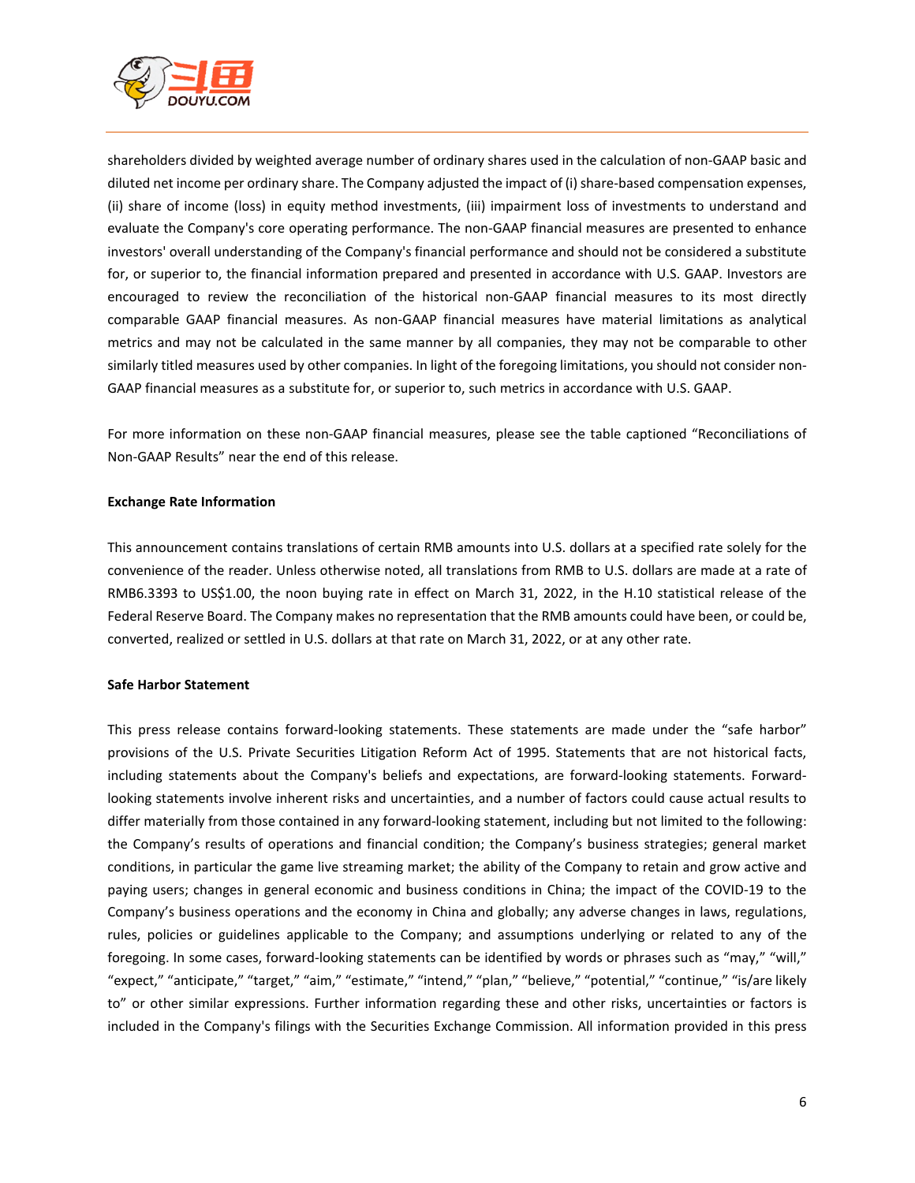

shareholders divided by weighted average number of ordinary shares used in the calculation of non-GAAP basic and diluted net income per ordinary share. The Company adjusted the impact of (i) share-based compensation expenses, (ii) share of income (loss) in equity method investments, (iii) impairment loss of investments to understand and evaluate the Company's core operating performance. The non-GAAP financial measures are presented to enhance investors' overall understanding of the Company's financial performance and should not be considered a substitute for, or superior to, the financial information prepared and presented in accordance with U.S. GAAP. Investors are encouraged to review the reconciliation of the historical non-GAAP financial measures to its most directly comparable GAAP financial measures. As non-GAAP financial measures have material limitations as analytical metrics and may not be calculated in the same manner by all companies, they may not be comparable to other similarly titled measures used by other companies. In light of the foregoing limitations, you should not consider non-GAAP financial measures as a substitute for, or superior to, such metrics in accordance with U.S. GAAP.

For more information on these non-GAAP financial measures, please see the table captioned "Reconciliations of Non-GAAP Results" near the end of this release.

#### **Exchange Rate Information**

This announcement contains translations of certain RMB amounts into U.S. dollars at a specified rate solely for the convenience of the reader. Unless otherwise noted, all translations from RMB to U.S. dollars are made at a rate of RMB6.3393 to US\$1.00, the noon buying rate in effect on March 31, 2022, in the H.10 statistical release of the Federal Reserve Board. The Company makes no representation that the RMB amounts could have been, or could be, converted, realized or settled in U.S. dollars at that rate on March 31, 2022, or at any other rate.

#### **Safe Harbor Statement**

This press release contains forward-looking statements. These statements are made under the "safe harbor" provisions of the U.S. Private Securities Litigation Reform Act of 1995. Statements that are not historical facts, including statements about the Company's beliefs and expectations, are forward-looking statements. Forwardlooking statements involve inherent risks and uncertainties, and a number of factors could cause actual results to differ materially from those contained in any forward-looking statement, including but not limited to the following: the Company's results of operations and financial condition; the Company's business strategies; general market conditions, in particular the game live streaming market; the ability of the Company to retain and grow active and paying users; changes in general economic and business conditions in China; the impact of the COVID-19 to the Company's business operations and the economy in China and globally; any adverse changes in laws, regulations, rules, policies or guidelines applicable to the Company; and assumptions underlying or related to any of the foregoing. In some cases, forward-looking statements can be identified by words or phrases such as "may," "will," "expect," "anticipate," "target," "aim," "estimate," "intend," "plan," "believe," "potential," "continue," "is/are likely to" or other similar expressions. Further information regarding these and other risks, uncertainties or factors is included in the Company's filings with the Securities Exchange Commission. All information provided in this press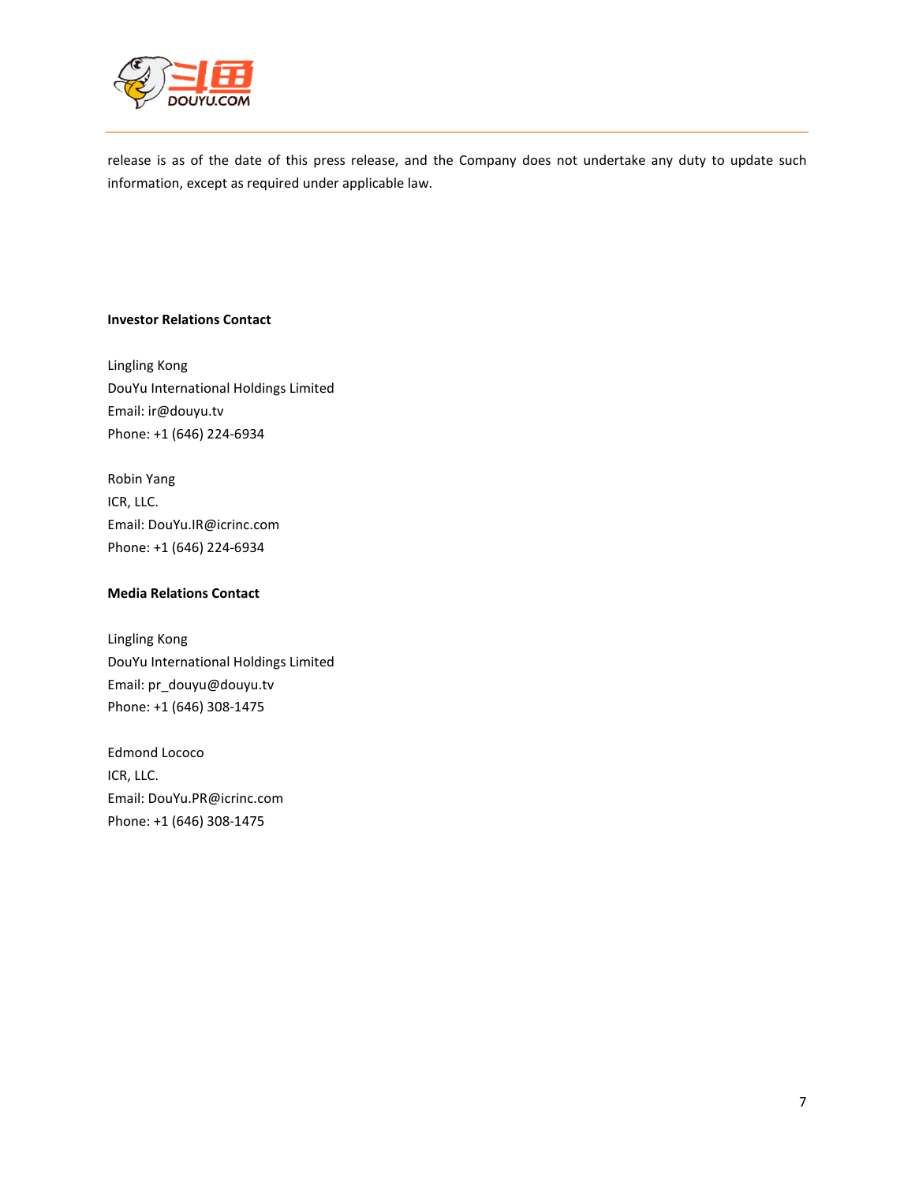

release is as of the date of this press release, and the Company does not undertake any duty to update such information, except as required under applicable law.

#### **Investor Relations Contact**

Lingling Kong DouYu International Holdings Limited Email: ir@douyu.tv Phone: +1 (646) 224-6934

Robin Yang ICR, LLC. Email: DouYu.IR@icrinc.com Phone: +1 (646) 224-6934

### **Media Relations Contact**

Lingling Kong DouYu International Holdings Limited Email: pr\_douyu@douyu.tv Phone: +1 (646) 308-1475

Edmond Lococo ICR, LLC. Email: DouYu.PR@icrinc.com Phone: +1 (646) 308-1475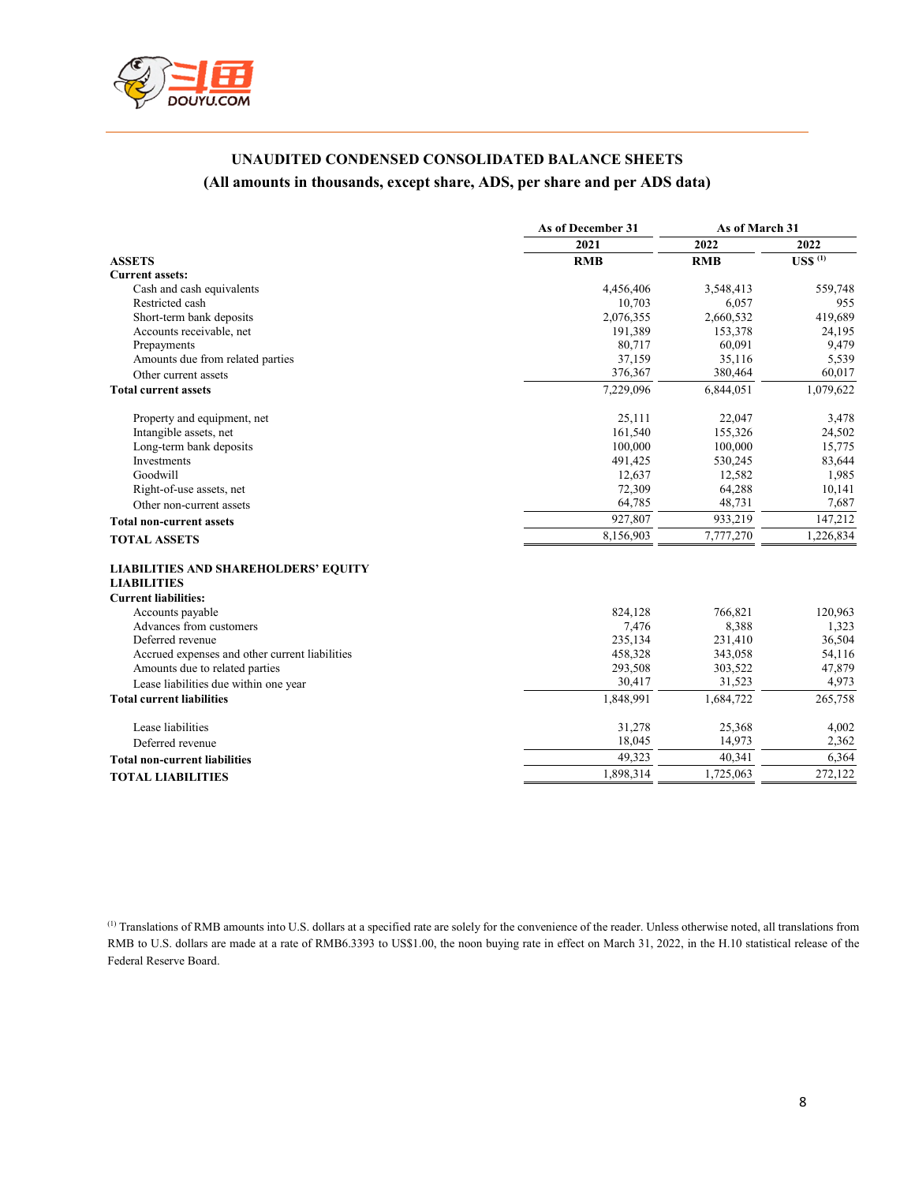

## **UNAUDITED CONDENSED CONSOLIDATED BALANCE SHEETS (All amounts in thousands, except share, ADS, per share and per ADS data)**

| 2022<br>2021<br>2022<br>$USS$ <sup>(1)</sup><br><b>ASSETS</b><br><b>RMB</b><br><b>RMB</b><br><b>Current assets:</b><br>559,748<br>Cash and cash equivalents<br>4,456,406<br>3,548,413<br>Restricted cash<br>10,703<br>6,057<br>955<br>Short-term bank deposits<br>2,076,355<br>2,660,532<br>419,689<br>Accounts receivable, net<br>191,389<br>153,378<br>24,195<br>Prepayments<br>80,717<br>60,091<br>9,479<br>37,159<br>35,116<br>5,539<br>Amounts due from related parties<br>376,367<br>380,464<br>60,017<br>Other current assets<br>1,079,622<br>7,229,096<br>6,844,051<br><b>Total current assets</b><br>25,111<br>22,047<br>Property and equipment, net<br>3,478<br>Intangible assets, net<br>161,540<br>155,326<br>24,502<br>Long-term bank deposits<br>100,000<br>100,000<br>15,775<br>Investments<br>491,425<br>530,245<br>83,644<br>Goodwill<br>12,637<br>12,582<br>1,985<br>72,309<br>64,288<br>10,141<br>Right-of-use assets, net<br>64,785<br>48,731<br>7,687<br>Other non-current assets<br>927,807<br>933,219<br>147,212<br><b>Total non-current assets</b><br>8,156,903<br>7,777,270<br>1,226,834<br><b>TOTAL ASSETS</b><br><b>LIABILITIES AND SHAREHOLDERS' EQUITY</b> |
|-----------------------------------------------------------------------------------------------------------------------------------------------------------------------------------------------------------------------------------------------------------------------------------------------------------------------------------------------------------------------------------------------------------------------------------------------------------------------------------------------------------------------------------------------------------------------------------------------------------------------------------------------------------------------------------------------------------------------------------------------------------------------------------------------------------------------------------------------------------------------------------------------------------------------------------------------------------------------------------------------------------------------------------------------------------------------------------------------------------------------------------------------------------------------------------------|
|                                                                                                                                                                                                                                                                                                                                                                                                                                                                                                                                                                                                                                                                                                                                                                                                                                                                                                                                                                                                                                                                                                                                                                                         |
|                                                                                                                                                                                                                                                                                                                                                                                                                                                                                                                                                                                                                                                                                                                                                                                                                                                                                                                                                                                                                                                                                                                                                                                         |
|                                                                                                                                                                                                                                                                                                                                                                                                                                                                                                                                                                                                                                                                                                                                                                                                                                                                                                                                                                                                                                                                                                                                                                                         |
|                                                                                                                                                                                                                                                                                                                                                                                                                                                                                                                                                                                                                                                                                                                                                                                                                                                                                                                                                                                                                                                                                                                                                                                         |
|                                                                                                                                                                                                                                                                                                                                                                                                                                                                                                                                                                                                                                                                                                                                                                                                                                                                                                                                                                                                                                                                                                                                                                                         |
|                                                                                                                                                                                                                                                                                                                                                                                                                                                                                                                                                                                                                                                                                                                                                                                                                                                                                                                                                                                                                                                                                                                                                                                         |
|                                                                                                                                                                                                                                                                                                                                                                                                                                                                                                                                                                                                                                                                                                                                                                                                                                                                                                                                                                                                                                                                                                                                                                                         |
|                                                                                                                                                                                                                                                                                                                                                                                                                                                                                                                                                                                                                                                                                                                                                                                                                                                                                                                                                                                                                                                                                                                                                                                         |
|                                                                                                                                                                                                                                                                                                                                                                                                                                                                                                                                                                                                                                                                                                                                                                                                                                                                                                                                                                                                                                                                                                                                                                                         |
|                                                                                                                                                                                                                                                                                                                                                                                                                                                                                                                                                                                                                                                                                                                                                                                                                                                                                                                                                                                                                                                                                                                                                                                         |
|                                                                                                                                                                                                                                                                                                                                                                                                                                                                                                                                                                                                                                                                                                                                                                                                                                                                                                                                                                                                                                                                                                                                                                                         |
|                                                                                                                                                                                                                                                                                                                                                                                                                                                                                                                                                                                                                                                                                                                                                                                                                                                                                                                                                                                                                                                                                                                                                                                         |
|                                                                                                                                                                                                                                                                                                                                                                                                                                                                                                                                                                                                                                                                                                                                                                                                                                                                                                                                                                                                                                                                                                                                                                                         |
|                                                                                                                                                                                                                                                                                                                                                                                                                                                                                                                                                                                                                                                                                                                                                                                                                                                                                                                                                                                                                                                                                                                                                                                         |
|                                                                                                                                                                                                                                                                                                                                                                                                                                                                                                                                                                                                                                                                                                                                                                                                                                                                                                                                                                                                                                                                                                                                                                                         |
|                                                                                                                                                                                                                                                                                                                                                                                                                                                                                                                                                                                                                                                                                                                                                                                                                                                                                                                                                                                                                                                                                                                                                                                         |
|                                                                                                                                                                                                                                                                                                                                                                                                                                                                                                                                                                                                                                                                                                                                                                                                                                                                                                                                                                                                                                                                                                                                                                                         |
|                                                                                                                                                                                                                                                                                                                                                                                                                                                                                                                                                                                                                                                                                                                                                                                                                                                                                                                                                                                                                                                                                                                                                                                         |
|                                                                                                                                                                                                                                                                                                                                                                                                                                                                                                                                                                                                                                                                                                                                                                                                                                                                                                                                                                                                                                                                                                                                                                                         |
|                                                                                                                                                                                                                                                                                                                                                                                                                                                                                                                                                                                                                                                                                                                                                                                                                                                                                                                                                                                                                                                                                                                                                                                         |
| <b>LIABILITIES</b>                                                                                                                                                                                                                                                                                                                                                                                                                                                                                                                                                                                                                                                                                                                                                                                                                                                                                                                                                                                                                                                                                                                                                                      |
| <b>Current liabilities:</b>                                                                                                                                                                                                                                                                                                                                                                                                                                                                                                                                                                                                                                                                                                                                                                                                                                                                                                                                                                                                                                                                                                                                                             |
| 824,128<br>766,821<br>120,963<br>Accounts payable                                                                                                                                                                                                                                                                                                                                                                                                                                                                                                                                                                                                                                                                                                                                                                                                                                                                                                                                                                                                                                                                                                                                       |
| Advances from customers<br>7,476<br>8,388<br>1,323                                                                                                                                                                                                                                                                                                                                                                                                                                                                                                                                                                                                                                                                                                                                                                                                                                                                                                                                                                                                                                                                                                                                      |
| Deferred revenue<br>235,134<br>36,504<br>231,410                                                                                                                                                                                                                                                                                                                                                                                                                                                                                                                                                                                                                                                                                                                                                                                                                                                                                                                                                                                                                                                                                                                                        |
| Accrued expenses and other current liabilities<br>458,328<br>343,058<br>54,116                                                                                                                                                                                                                                                                                                                                                                                                                                                                                                                                                                                                                                                                                                                                                                                                                                                                                                                                                                                                                                                                                                          |
| Amounts due to related parties<br>293,508<br>303,522<br>47,879                                                                                                                                                                                                                                                                                                                                                                                                                                                                                                                                                                                                                                                                                                                                                                                                                                                                                                                                                                                                                                                                                                                          |
| 30,417<br>31,523<br>4,973                                                                                                                                                                                                                                                                                                                                                                                                                                                                                                                                                                                                                                                                                                                                                                                                                                                                                                                                                                                                                                                                                                                                                               |
| Lease liabilities due within one year<br><b>Total current liabilities</b><br>1,848,991<br>1,684,722<br>265,758                                                                                                                                                                                                                                                                                                                                                                                                                                                                                                                                                                                                                                                                                                                                                                                                                                                                                                                                                                                                                                                                          |
|                                                                                                                                                                                                                                                                                                                                                                                                                                                                                                                                                                                                                                                                                                                                                                                                                                                                                                                                                                                                                                                                                                                                                                                         |
| 31,278<br>25,368<br>Lease liabilities<br>4,002                                                                                                                                                                                                                                                                                                                                                                                                                                                                                                                                                                                                                                                                                                                                                                                                                                                                                                                                                                                                                                                                                                                                          |
| 18,045<br>14,973<br>2,362<br>Deferred revenue                                                                                                                                                                                                                                                                                                                                                                                                                                                                                                                                                                                                                                                                                                                                                                                                                                                                                                                                                                                                                                                                                                                                           |
| 49,323<br>40,341<br>6,364<br><b>Total non-current liabilities</b>                                                                                                                                                                                                                                                                                                                                                                                                                                                                                                                                                                                                                                                                                                                                                                                                                                                                                                                                                                                                                                                                                                                       |
| 1,898,314<br>1,725,063<br>272,122<br><b>TOTAL LIABILITIES</b>                                                                                                                                                                                                                                                                                                                                                                                                                                                                                                                                                                                                                                                                                                                                                                                                                                                                                                                                                                                                                                                                                                                           |

(1) Translations of RMB amounts into U.S. dollars at a specified rate are solely for the convenience of the reader. Unless otherwise noted, all translations from RMB to U.S. dollars are made at a rate of RMB6.3393 to US\$1.00, the noon buying rate in effect on March 31, 2022, in the H.10 statistical release of the Federal Reserve Board.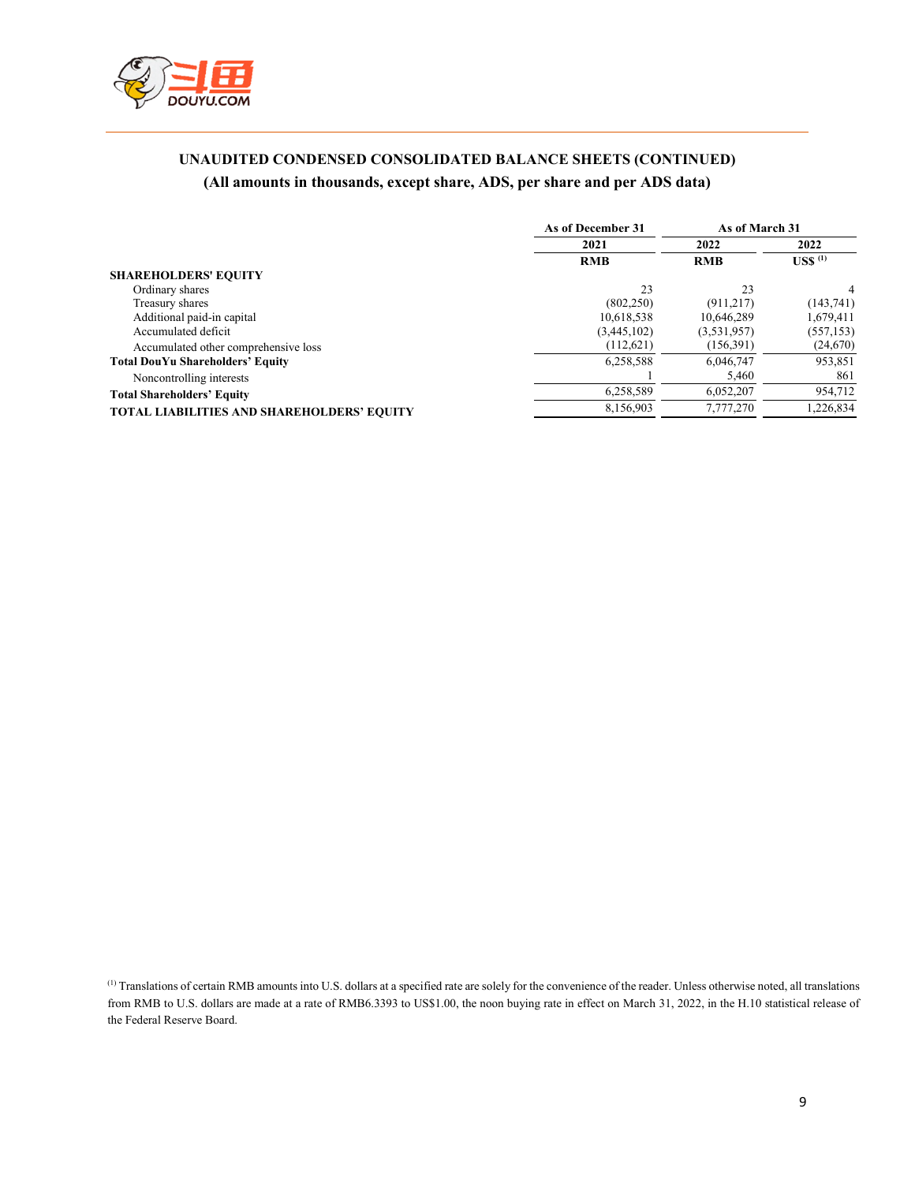

## **UNAUDITED CONDENSED CONSOLIDATED BALANCE SHEETS (CONTINUED) (All amounts in thousands, except share, ADS, per share and per ADS data)**

|                                                   | As of December 31 | As of March 31 |                               |
|---------------------------------------------------|-------------------|----------------|-------------------------------|
|                                                   | 2021              | 2022           | 2022                          |
|                                                   | <b>RMB</b>        | <b>RMB</b>     | $\mathrm{USS}$ <sup>(1)</sup> |
| <b>SHAREHOLDERS' EQUITY</b>                       |                   |                |                               |
| Ordinary shares                                   | 23                | 23             | 4                             |
| Treasury shares                                   | (802, 250)        | (911, 217)     | (143, 741)                    |
| Additional paid-in capital                        | 10.618.538        | 10,646,289     | 1,679,411                     |
| Accumulated deficit                               | (3,445,102)       | (3,531,957)    | (557, 153)                    |
| Accumulated other comprehensive loss              | (112,621)         | (156,391)      | (24, 670)                     |
| <b>Total DouYu Shareholders' Equity</b>           | 6,258,588         | 6,046,747      | 953,851                       |
| Noncontrolling interests                          |                   | 5,460          | 861                           |
| <b>Total Shareholders' Equity</b>                 | 6,258,589         | 6,052,207      | 954,712                       |
| <b>TOTAL LIABILITIES AND SHAREHOLDERS' EQUITY</b> | 8,156,903         | 7,777,270      | 1,226,834                     |

(1) Translations of certain RMB amounts into U.S. dollars at a specified rate are solely for the convenience of the reader. Unless otherwise noted, all translations from RMB to U.S. dollars are made at a rate of RMB6.3393 to US\$1.00, the noon buying rate in effect on March 31, 2022, in the H.10 statistical release of the Federal Reserve Board.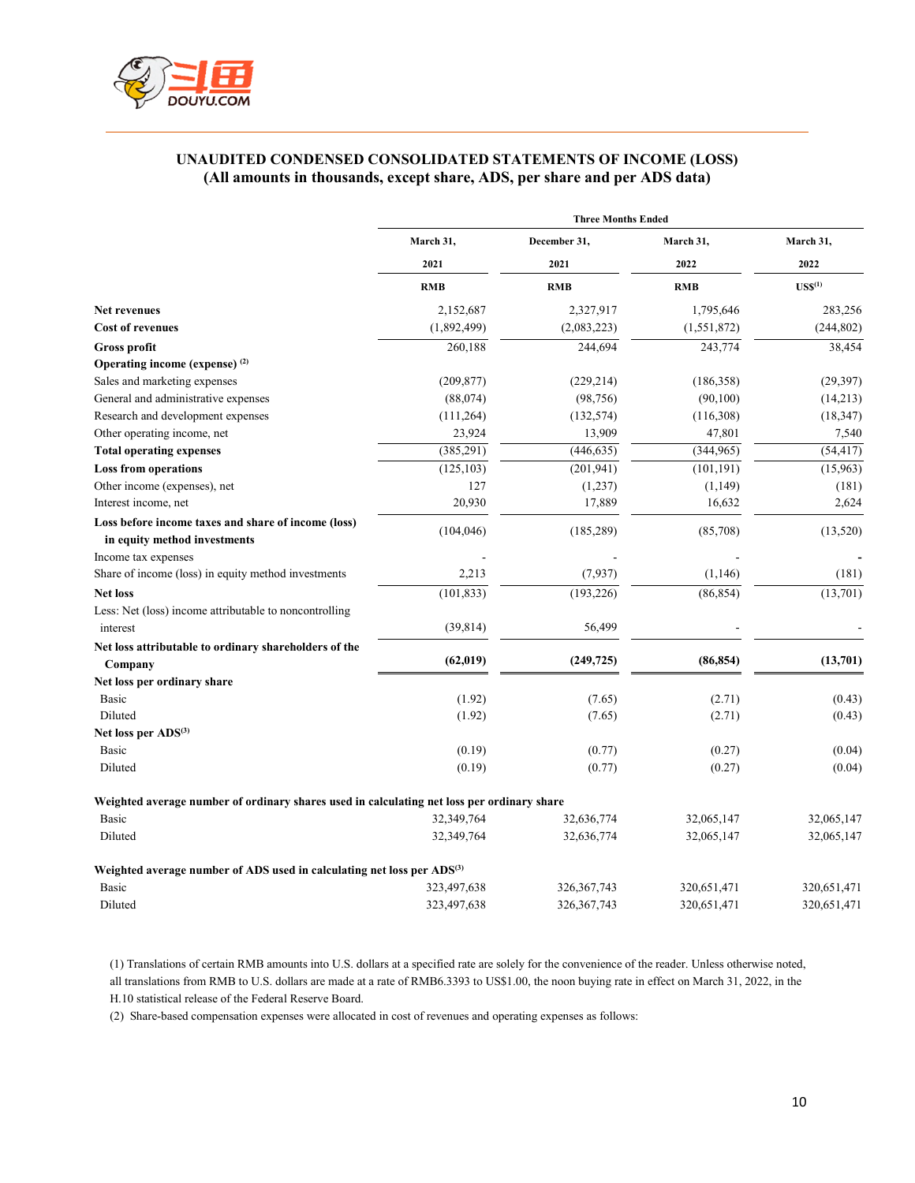

## **UNAUDITED CONDENSED CONSOLIDATED STATEMENTS OF INCOME (LOSS) (All amounts in thousands, except share, ADS, per share and per ADS data)**

|                                                                                            | <b>Three Months Ended</b> |                      |                   |                                  |
|--------------------------------------------------------------------------------------------|---------------------------|----------------------|-------------------|----------------------------------|
|                                                                                            | March 31,<br>2021         | December 31,<br>2021 | March 31,<br>2022 | March 31,<br>2022<br>$USS^{(1)}$ |
|                                                                                            |                           |                      |                   |                                  |
|                                                                                            | <b>RMB</b>                | <b>RMB</b>           | <b>RMB</b>        |                                  |
| Net revenues                                                                               | 2,152,687                 | 2,327,917            | 1,795,646         | 283,256                          |
| <b>Cost of revenues</b>                                                                    | (1,892,499)               | (2,083,223)          | (1,551,872)       | (244, 802)                       |
| <b>Gross profit</b>                                                                        | 260,188                   | 244,694              | 243,774           | 38,454                           |
| Operating income (expense) <sup>(2)</sup>                                                  |                           |                      |                   |                                  |
| Sales and marketing expenses                                                               | (209, 877)                | (229, 214)           | (186,358)         | (29, 397)                        |
| General and administrative expenses                                                        | (88,074)                  | (98, 756)            | (90,100)          | (14,213)                         |
| Research and development expenses                                                          | (111, 264)                | (132, 574)           | (116,308)         | (18, 347)                        |
| Other operating income, net                                                                | 23,924                    | 13,909               | 47,801            | 7,540                            |
| <b>Total operating expenses</b>                                                            | (385, 291)                | (446, 635)           | (344,965)         | (54, 417)                        |
| <b>Loss from operations</b>                                                                | (125, 103)                | (201, 941)           | (101, 191)        | (15,963)                         |
| Other income (expenses), net                                                               | 127                       | (1,237)              | (1,149)           | (181)                            |
| Interest income, net                                                                       | 20,930                    | 17,889               | 16,632            | 2,624                            |
| Loss before income taxes and share of income (loss)<br>in equity method investments        | (104, 046)                | (185, 289)           | (85,708)          | (13,520)                         |
| Income tax expenses                                                                        |                           |                      |                   |                                  |
| Share of income (loss) in equity method investments                                        | 2,213                     | (7, 937)             | (1,146)           | (181)                            |
| <b>Net loss</b>                                                                            | (101, 833)                | (193, 226)           | (86, 854)         | (13,701)                         |
| Less: Net (loss) income attributable to noncontrolling                                     |                           |                      |                   |                                  |
| interest                                                                                   | (39, 814)                 | 56,499               |                   |                                  |
| Net loss attributable to ordinary shareholders of the                                      |                           |                      |                   |                                  |
| Company                                                                                    | (62, 019)                 | (249, 725)           | (86, 854)         | (13,701)                         |
| Net loss per ordinary share                                                                |                           |                      |                   |                                  |
| Basic                                                                                      | (1.92)                    | (7.65)               | (2.71)            | (0.43)                           |
| Diluted                                                                                    | (1.92)                    | (7.65)               | (2.71)            | (0.43)                           |
| Net loss per ADS <sup>(3)</sup>                                                            |                           |                      |                   |                                  |
| Basic                                                                                      | (0.19)                    | (0.77)               | (0.27)            | (0.04)                           |
| Diluted                                                                                    | (0.19)                    | (0.77)               | (0.27)            | (0.04)                           |
| Weighted average number of ordinary shares used in calculating net loss per ordinary share |                           |                      |                   |                                  |
| Basic                                                                                      | 32,349,764                | 32,636,774           | 32,065,147        | 32,065,147                       |
| Diluted                                                                                    | 32,349,764                | 32,636,774           | 32,065,147        | 32,065,147                       |
| Weighted average number of ADS used in calculating net loss per ADS <sup>(3)</sup>         |                           |                      |                   |                                  |
| Basic                                                                                      | 323,497,638               | 326, 367, 743        | 320,651,471       | 320,651,471                      |
| Diluted                                                                                    | 323,497,638               | 326, 367, 743        | 320,651,471       | 320,651,471                      |

(1) Translations of certain RMB amounts into U.S. dollars at a specified rate are solely for the convenience of the reader. Unless otherwise noted, all translations from RMB to U.S. dollars are made at a rate of RMB6.3393 to US\$1.00, the noon buying rate in effect on March 31, 2022, in the H.10 statistical release of the Federal Reserve Board.

(2) Share-based compensation expenses were allocated in cost of revenues and operating expenses as follows: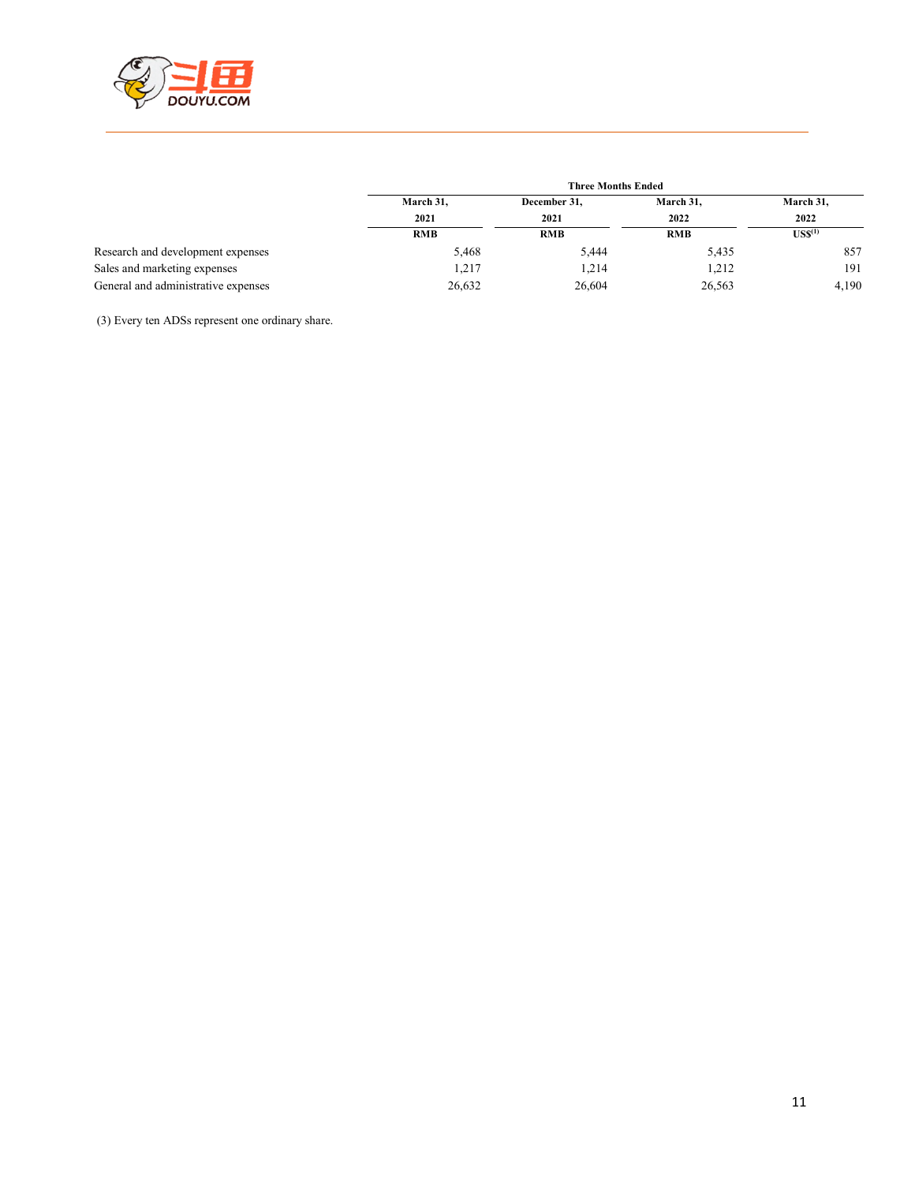

|                                     |                   | <b>Three Months Ended</b> |                   |                                                             |  |
|-------------------------------------|-------------------|---------------------------|-------------------|-------------------------------------------------------------|--|
|                                     | March 31,<br>2021 | December 31,<br>2021      | March 31,<br>2022 | March 31,<br>2022<br>$\mathbf{U}\mathbf{S}\mathbf{S}^{(1)}$ |  |
|                                     |                   |                           |                   |                                                             |  |
|                                     | <b>RMB</b>        | <b>RMB</b>                | <b>RMB</b>        |                                                             |  |
| Research and development expenses   | 5,468             | 5,444                     | 5,435             | 857                                                         |  |
| Sales and marketing expenses        | 1.217             | 1.214                     | 1,212             | 191                                                         |  |
| General and administrative expenses | 26,632            | 26,604                    | 26,563            | 4.190                                                       |  |

(3) Every ten ADSs represent one ordinary share.